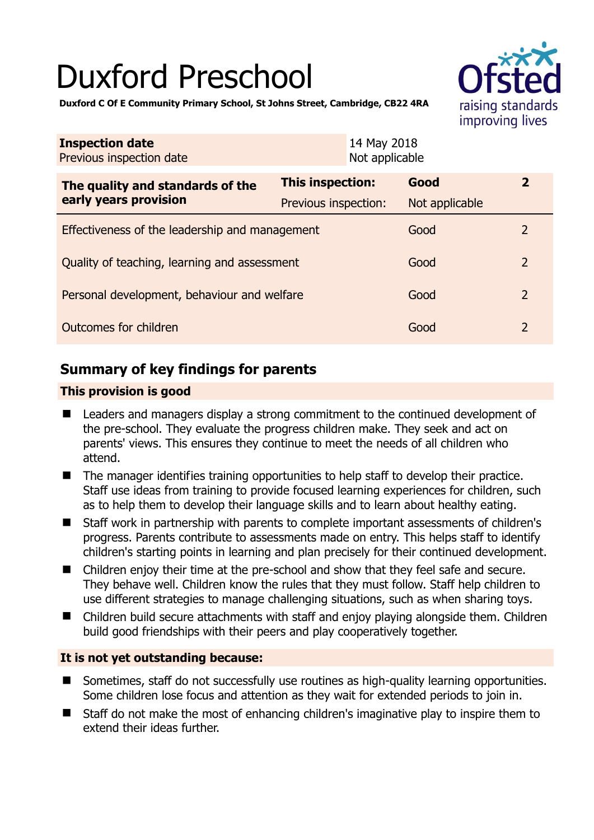# Duxford Preschool



**Duxford C Of E Community Primary School, St Johns Street, Cambridge, CB22 4RA** 

| <b>Inspection date</b><br>Previous inspection date        | 14 May 2018<br>Not applicable |                |                |
|-----------------------------------------------------------|-------------------------------|----------------|----------------|
| The quality and standards of the<br>early years provision | This inspection:              | Good           | $\mathbf{2}$   |
|                                                           | Previous inspection:          | Not applicable |                |
| Effectiveness of the leadership and management            |                               | Good           | 2              |
| Quality of teaching, learning and assessment              |                               | Good           | $\overline{2}$ |
| Personal development, behaviour and welfare               |                               | Good           | $\overline{2}$ |
| Outcomes for children                                     |                               | Good           | $\overline{2}$ |

# **Summary of key findings for parents**

## **This provision is good**

- Leaders and managers display a strong commitment to the continued development of the pre-school. They evaluate the progress children make. They seek and act on parents' views. This ensures they continue to meet the needs of all children who attend.
- The manager identifies training opportunities to help staff to develop their practice. Staff use ideas from training to provide focused learning experiences for children, such as to help them to develop their language skills and to learn about healthy eating.
- Staff work in partnership with parents to complete important assessments of children's progress. Parents contribute to assessments made on entry. This helps staff to identify children's starting points in learning and plan precisely for their continued development.
- Children enjoy their time at the pre-school and show that they feel safe and secure. They behave well. Children know the rules that they must follow. Staff help children to use different strategies to manage challenging situations, such as when sharing toys.
- Children build secure attachments with staff and enjoy playing alongside them. Children build good friendships with their peers and play cooperatively together.

## **It is not yet outstanding because:**

- Sometimes, staff do not successfully use routines as high-quality learning opportunities. Some children lose focus and attention as they wait for extended periods to join in.
- Staff do not make the most of enhancing children's imaginative play to inspire them to extend their ideas further.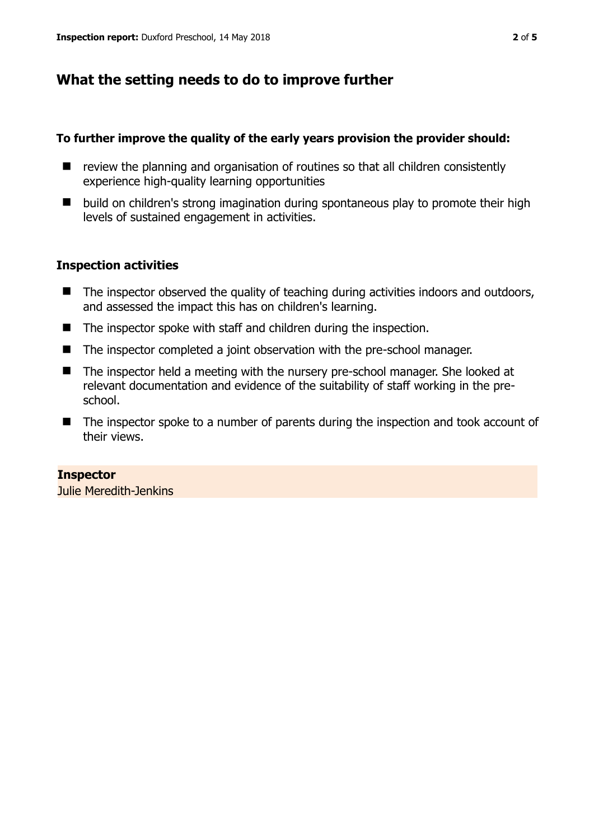# **What the setting needs to do to improve further**

#### **To further improve the quality of the early years provision the provider should:**

- $\blacksquare$  review the planning and organisation of routines so that all children consistently experience high-quality learning opportunities
- build on children's strong imagination during spontaneous play to promote their high levels of sustained engagement in activities.

## **Inspection activities**

- $\blacksquare$  The inspector observed the quality of teaching during activities indoors and outdoors, and assessed the impact this has on children's learning.
- The inspector spoke with staff and children during the inspection.
- The inspector completed a joint observation with the pre-school manager.
- The inspector held a meeting with the nursery pre-school manager. She looked at relevant documentation and evidence of the suitability of staff working in the preschool.
- The inspector spoke to a number of parents during the inspection and took account of their views.

#### **Inspector**

Julie Meredith-Jenkins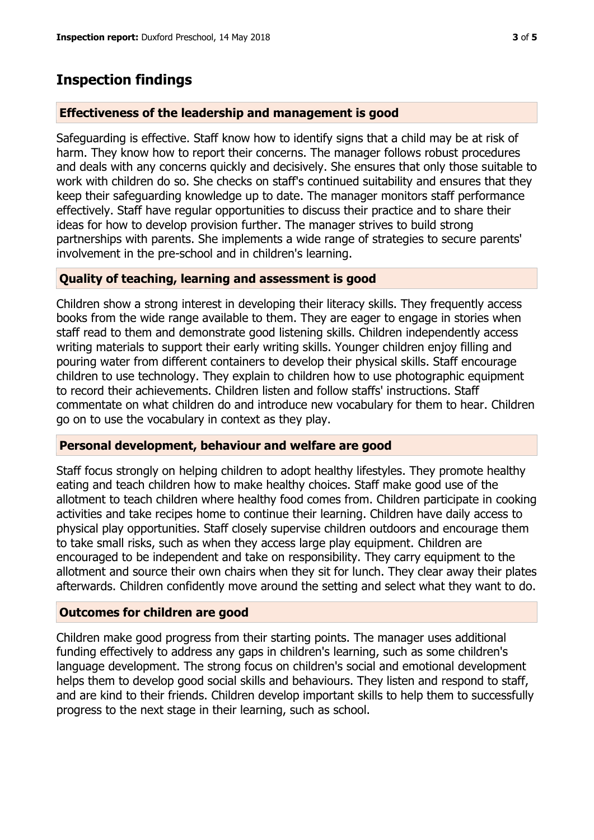## **Inspection findings**

#### **Effectiveness of the leadership and management is good**

Safeguarding is effective. Staff know how to identify signs that a child may be at risk of harm. They know how to report their concerns. The manager follows robust procedures and deals with any concerns quickly and decisively. She ensures that only those suitable to work with children do so. She checks on staff's continued suitability and ensures that they keep their safeguarding knowledge up to date. The manager monitors staff performance effectively. Staff have regular opportunities to discuss their practice and to share their ideas for how to develop provision further. The manager strives to build strong partnerships with parents. She implements a wide range of strategies to secure parents' involvement in the pre-school and in children's learning.

#### **Quality of teaching, learning and assessment is good**

Children show a strong interest in developing their literacy skills. They frequently access books from the wide range available to them. They are eager to engage in stories when staff read to them and demonstrate good listening skills. Children independently access writing materials to support their early writing skills. Younger children enjoy filling and pouring water from different containers to develop their physical skills. Staff encourage children to use technology. They explain to children how to use photographic equipment to record their achievements. Children listen and follow staffs' instructions. Staff commentate on what children do and introduce new vocabulary for them to hear. Children go on to use the vocabulary in context as they play.

#### **Personal development, behaviour and welfare are good**

Staff focus strongly on helping children to adopt healthy lifestyles. They promote healthy eating and teach children how to make healthy choices. Staff make good use of the allotment to teach children where healthy food comes from. Children participate in cooking activities and take recipes home to continue their learning. Children have daily access to physical play opportunities. Staff closely supervise children outdoors and encourage them to take small risks, such as when they access large play equipment. Children are encouraged to be independent and take on responsibility. They carry equipment to the allotment and source their own chairs when they sit for lunch. They clear away their plates afterwards. Children confidently move around the setting and select what they want to do.

#### **Outcomes for children are good**

Children make good progress from their starting points. The manager uses additional funding effectively to address any gaps in children's learning, such as some children's language development. The strong focus on children's social and emotional development helps them to develop good social skills and behaviours. They listen and respond to staff, and are kind to their friends. Children develop important skills to help them to successfully progress to the next stage in their learning, such as school.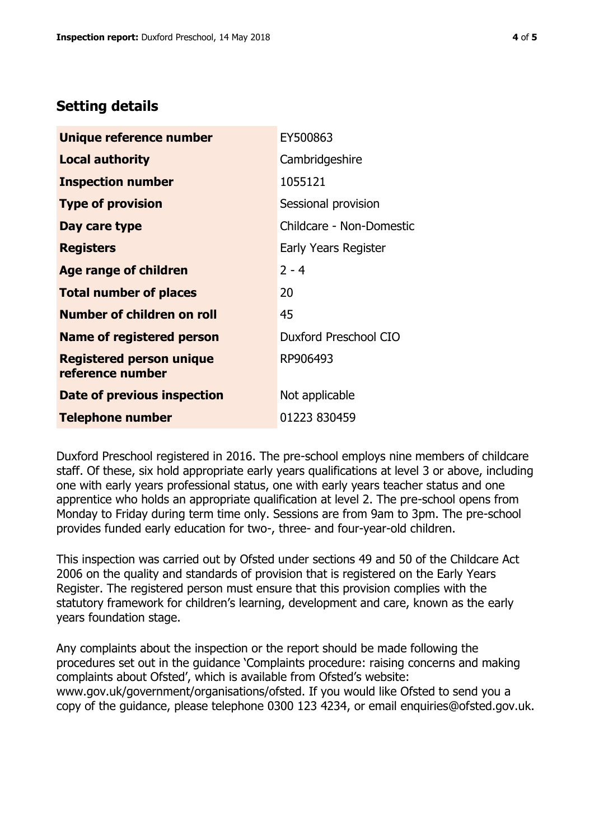# **Setting details**

| Unique reference number                             | EY500863                 |
|-----------------------------------------------------|--------------------------|
| <b>Local authority</b>                              | Cambridgeshire           |
| <b>Inspection number</b>                            | 1055121                  |
| <b>Type of provision</b>                            | Sessional provision      |
| Day care type                                       | Childcare - Non-Domestic |
| <b>Registers</b>                                    | Early Years Register     |
| Age range of children                               | $2 - 4$                  |
| <b>Total number of places</b>                       | 20                       |
| Number of children on roll                          | 45                       |
| <b>Name of registered person</b>                    | Duxford Preschool CIO    |
| <b>Registered person unique</b><br>reference number | RP906493                 |
| Date of previous inspection                         | Not applicable           |
| <b>Telephone number</b>                             | 01223 830459             |

Duxford Preschool registered in 2016. The pre-school employs nine members of childcare staff. Of these, six hold appropriate early years qualifications at level 3 or above, including one with early years professional status, one with early years teacher status and one apprentice who holds an appropriate qualification at level 2. The pre-school opens from Monday to Friday during term time only. Sessions are from 9am to 3pm. The pre-school provides funded early education for two-, three- and four-year-old children.

This inspection was carried out by Ofsted under sections 49 and 50 of the Childcare Act 2006 on the quality and standards of provision that is registered on the Early Years Register. The registered person must ensure that this provision complies with the statutory framework for children's learning, development and care, known as the early years foundation stage.

Any complaints about the inspection or the report should be made following the procedures set out in the guidance 'Complaints procedure: raising concerns and making complaints about Ofsted', which is available from Ofsted's website: www.gov.uk/government/organisations/ofsted. If you would like Ofsted to send you a copy of the guidance, please telephone 0300 123 4234, or email enquiries@ofsted.gov.uk.